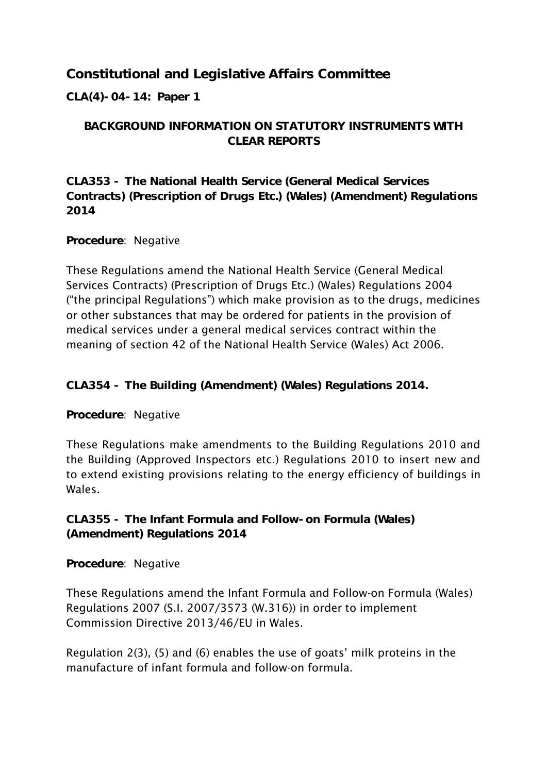## **Constitutional and Legislative Affairs Committee**

**CLA(4)-04-14: Paper 1**

## **BACKGROUND INFORMATION ON STATUTORY INSTRUMENTS WITH CLEAR REPORTS**

**CLA353 - The National Health Service (General Medical Services Contracts) (Prescription of Drugs Etc.) (Wales) (Amendment) Regulations 2014**

## **Procedure**: Negative

These Regulations amend the National Health Service (General Medical Services Contracts) (Prescription of Drugs Etc.) (Wales) Regulations 2004 ("the principal Regulations") which make provision as to the drugs, medicines or other substances that may be ordered for patients in the provision of medical services under a general medical services contract within the meaning of section 42 of the National Health Service (Wales) Act 2006.

**CLA354 - The Building (Amendment) (Wales) Regulations 2014.**

## **Procedure**: Negative

These Regulations make amendments to the Building Regulations 2010 and the Building (Approved Inspectors etc.) Regulations 2010 to insert new and to extend existing provisions relating to the energy efficiency of buildings in Wales.

**CLA355 - The Infant Formula and Follow-on Formula (Wales) (Amendment) Regulations 2014**

**Procedure**: Negative

These Regulations amend the Infant Formula and Follow-on Formula (Wales) Regulations 2007 (S.I. 2007/3573 (W.316)) in order to implement Commission Directive 2013/46/EU in Wales.

Regulation 2(3), (5) and (6) enables the use of goats" milk proteins in the manufacture of infant formula and follow-on formula.